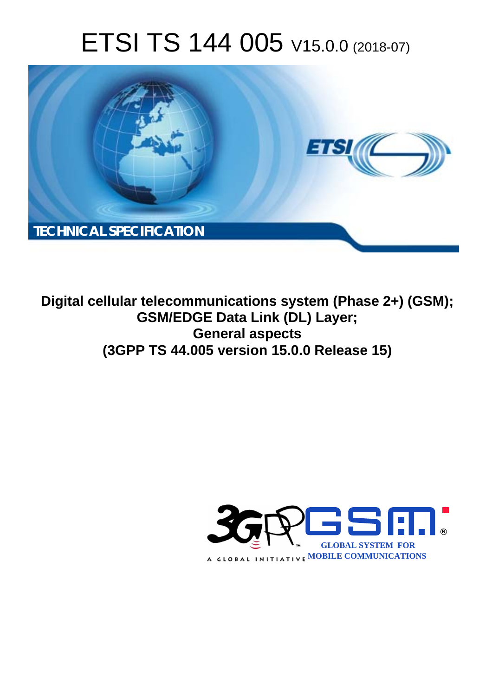# ETSI TS 144 005 V15.0.0 (2018-07)



**Digital cellular telecommunications system (Phase 2+) (GSM); GSM/EDGE Data Link (DL) Layer; General aspects (3GPP TS 44.005 version 15.0.0 Release 15)** 

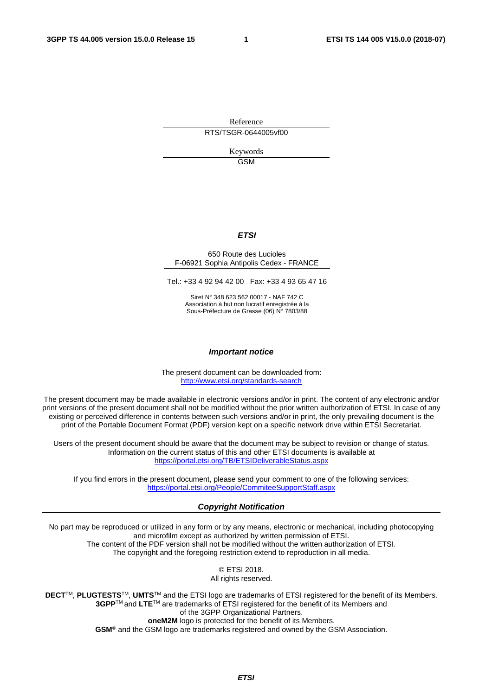Reference RTS/TSGR-0644005vf00

> Keywords GSM

#### *ETSI*

#### 650 Route des Lucioles F-06921 Sophia Antipolis Cedex - FRANCE

Tel.: +33 4 92 94 42 00 Fax: +33 4 93 65 47 16

Siret N° 348 623 562 00017 - NAF 742 C Association à but non lucratif enregistrée à la Sous-Préfecture de Grasse (06) N° 7803/88

#### *Important notice*

The present document can be downloaded from: <http://www.etsi.org/standards-search>

The present document may be made available in electronic versions and/or in print. The content of any electronic and/or print versions of the present document shall not be modified without the prior written authorization of ETSI. In case of any existing or perceived difference in contents between such versions and/or in print, the only prevailing document is the print of the Portable Document Format (PDF) version kept on a specific network drive within ETSI Secretariat.

Users of the present document should be aware that the document may be subject to revision or change of status. Information on the current status of this and other ETSI documents is available at <https://portal.etsi.org/TB/ETSIDeliverableStatus.aspx>

If you find errors in the present document, please send your comment to one of the following services: <https://portal.etsi.org/People/CommiteeSupportStaff.aspx>

#### *Copyright Notification*

No part may be reproduced or utilized in any form or by any means, electronic or mechanical, including photocopying and microfilm except as authorized by written permission of ETSI. The content of the PDF version shall not be modified without the written authorization of ETSI. The copyright and the foregoing restriction extend to reproduction in all media.

> © ETSI 2018. All rights reserved.

**DECT**TM, **PLUGTESTS**TM, **UMTS**TM and the ETSI logo are trademarks of ETSI registered for the benefit of its Members. **3GPP**TM and **LTE**TM are trademarks of ETSI registered for the benefit of its Members and of the 3GPP Organizational Partners. **oneM2M** logo is protected for the benefit of its Members.

**GSM**® and the GSM logo are trademarks registered and owned by the GSM Association.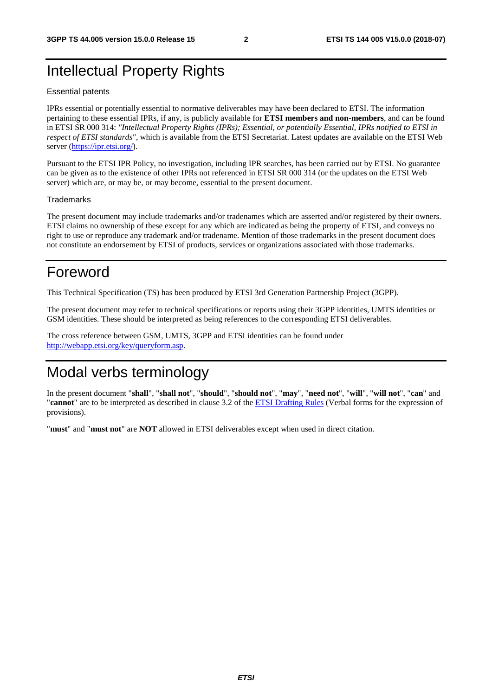# Intellectual Property Rights

#### Essential patents

IPRs essential or potentially essential to normative deliverables may have been declared to ETSI. The information pertaining to these essential IPRs, if any, is publicly available for **ETSI members and non-members**, and can be found in ETSI SR 000 314: *"Intellectual Property Rights (IPRs); Essential, or potentially Essential, IPRs notified to ETSI in respect of ETSI standards"*, which is available from the ETSI Secretariat. Latest updates are available on the ETSI Web server ([https://ipr.etsi.org/\)](https://ipr.etsi.org/).

Pursuant to the ETSI IPR Policy, no investigation, including IPR searches, has been carried out by ETSI. No guarantee can be given as to the existence of other IPRs not referenced in ETSI SR 000 314 (or the updates on the ETSI Web server) which are, or may be, or may become, essential to the present document.

#### **Trademarks**

The present document may include trademarks and/or tradenames which are asserted and/or registered by their owners. ETSI claims no ownership of these except for any which are indicated as being the property of ETSI, and conveys no right to use or reproduce any trademark and/or tradename. Mention of those trademarks in the present document does not constitute an endorsement by ETSI of products, services or organizations associated with those trademarks.

# Foreword

This Technical Specification (TS) has been produced by ETSI 3rd Generation Partnership Project (3GPP).

The present document may refer to technical specifications or reports using their 3GPP identities, UMTS identities or GSM identities. These should be interpreted as being references to the corresponding ETSI deliverables.

The cross reference between GSM, UMTS, 3GPP and ETSI identities can be found under [http://webapp.etsi.org/key/queryform.asp.](http://webapp.etsi.org/key/queryform.asp)

# Modal verbs terminology

In the present document "**shall**", "**shall not**", "**should**", "**should not**", "**may**", "**need not**", "**will**", "**will not**", "**can**" and "**cannot**" are to be interpreted as described in clause 3.2 of the [ETSI Drafting Rules](https://portal.etsi.org/Services/editHelp!/Howtostart/ETSIDraftingRules.aspx) (Verbal forms for the expression of provisions).

"**must**" and "**must not**" are **NOT** allowed in ETSI deliverables except when used in direct citation.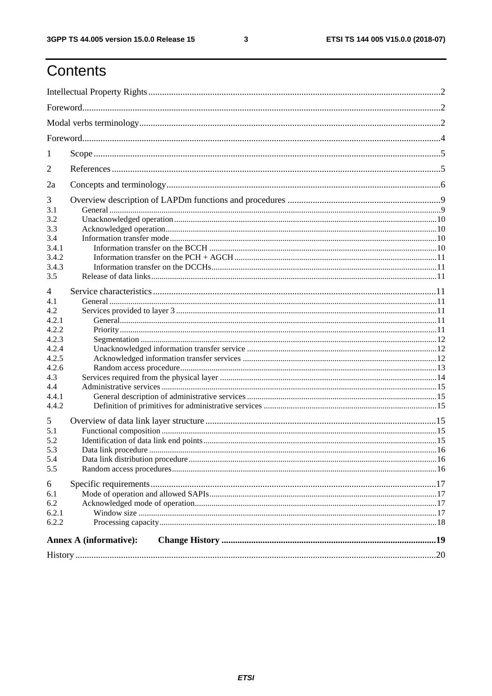$\mathbf{3}$ 

# Contents

| 1              |                        |  |  |  |  |  |  |  |
|----------------|------------------------|--|--|--|--|--|--|--|
| 2              |                        |  |  |  |  |  |  |  |
| 2a             |                        |  |  |  |  |  |  |  |
| 3              |                        |  |  |  |  |  |  |  |
| 3.1            |                        |  |  |  |  |  |  |  |
| 3.2            |                        |  |  |  |  |  |  |  |
| 3.3            |                        |  |  |  |  |  |  |  |
| 3.4            |                        |  |  |  |  |  |  |  |
| 3.4.1          |                        |  |  |  |  |  |  |  |
| 3.4.2          |                        |  |  |  |  |  |  |  |
|                |                        |  |  |  |  |  |  |  |
| 3.4.3          |                        |  |  |  |  |  |  |  |
| 3.5            |                        |  |  |  |  |  |  |  |
| $\overline{4}$ |                        |  |  |  |  |  |  |  |
| 4.1            |                        |  |  |  |  |  |  |  |
| 4.2            |                        |  |  |  |  |  |  |  |
| 4.2.1          |                        |  |  |  |  |  |  |  |
| 4.2.2          |                        |  |  |  |  |  |  |  |
| 4.2.3          |                        |  |  |  |  |  |  |  |
| 4.2.4          |                        |  |  |  |  |  |  |  |
| 4.2.5          |                        |  |  |  |  |  |  |  |
| 4.2.6          |                        |  |  |  |  |  |  |  |
|                |                        |  |  |  |  |  |  |  |
| 4.3            |                        |  |  |  |  |  |  |  |
| 4.4            |                        |  |  |  |  |  |  |  |
| 4.4.1          |                        |  |  |  |  |  |  |  |
| 4.4.2          |                        |  |  |  |  |  |  |  |
| 5              |                        |  |  |  |  |  |  |  |
| 5.1            |                        |  |  |  |  |  |  |  |
| 5.2            |                        |  |  |  |  |  |  |  |
| 5.3            |                        |  |  |  |  |  |  |  |
| 5.4            |                        |  |  |  |  |  |  |  |
| 5.5            |                        |  |  |  |  |  |  |  |
| 6              |                        |  |  |  |  |  |  |  |
|                |                        |  |  |  |  |  |  |  |
| 6.1            |                        |  |  |  |  |  |  |  |
| 6.2            |                        |  |  |  |  |  |  |  |
| 6.2.1          |                        |  |  |  |  |  |  |  |
| 6.2.2          |                        |  |  |  |  |  |  |  |
|                | Annex A (informative): |  |  |  |  |  |  |  |
|                |                        |  |  |  |  |  |  |  |
|                |                        |  |  |  |  |  |  |  |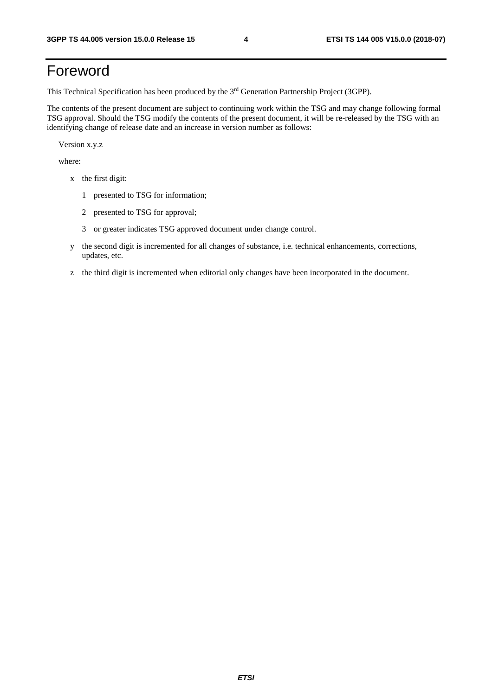# Foreword

This Technical Specification has been produced by the 3rd Generation Partnership Project (3GPP).

The contents of the present document are subject to continuing work within the TSG and may change following formal TSG approval. Should the TSG modify the contents of the present document, it will be re-released by the TSG with an identifying change of release date and an increase in version number as follows:

Version x.y.z

where:

- x the first digit:
	- 1 presented to TSG for information;
	- 2 presented to TSG for approval;
	- 3 or greater indicates TSG approved document under change control.
- y the second digit is incremented for all changes of substance, i.e. technical enhancements, corrections, updates, etc.
- z the third digit is incremented when editorial only changes have been incorporated in the document.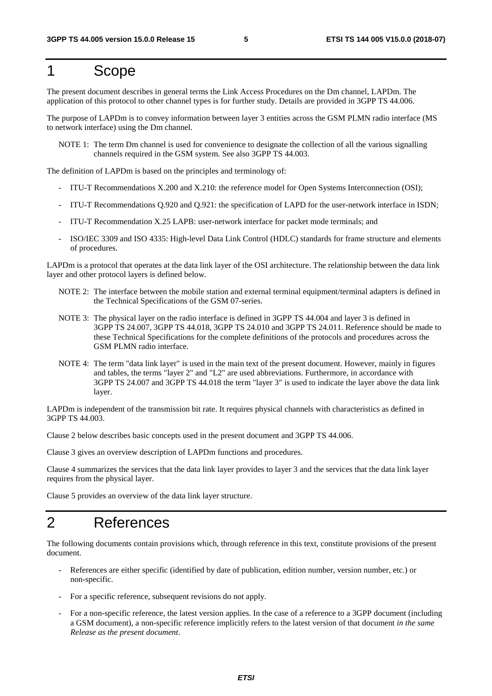# 1 Scope

The present document describes in general terms the Link Access Procedures on the Dm channel, LAPDm. The application of this protocol to other channel types is for further study. Details are provided in 3GPP TS 44.006.

The purpose of LAPDm is to convey information between layer 3 entities across the GSM PLMN radio interface (MS to network interface) using the Dm channel.

NOTE 1: The term Dm channel is used for convenience to designate the collection of all the various signalling channels required in the GSM system. See also 3GPP TS 44.003.

The definition of LAPDm is based on the principles and terminology of:

- ITU-T Recommendations X.200 and X.210: the reference model for Open Systems Interconnection (OSI);
- ITU-T Recommendations Q.920 and Q.921: the specification of LAPD for the user-network interface in ISDN;
- ITU-T Recommendation X.25 LAPB: user-network interface for packet mode terminals; and
- ISO/IEC 3309 and ISO 4335: High-level Data Link Control (HDLC) standards for frame structure and elements of procedures.

LAPDm is a protocol that operates at the data link layer of the OSI architecture. The relationship between the data link layer and other protocol layers is defined below.

- NOTE 2: The interface between the mobile station and external terminal equipment/terminal adapters is defined in the Technical Specifications of the GSM 07-series.
- NOTE 3: The physical layer on the radio interface is defined in 3GPP TS 44.004 and layer 3 is defined in 3GPP TS 24.007, 3GPP TS 44.018, 3GPP TS 24.010 and 3GPP TS 24.011. Reference should be made to these Technical Specifications for the complete definitions of the protocols and procedures across the GSM PLMN radio interface.
- NOTE 4: The term "data link layer" is used in the main text of the present document. However, mainly in figures and tables, the terms "layer 2" and "L2" are used abbreviations. Furthermore, in accordance with 3GPP TS 24.007 and 3GPP TS 44.018 the term "layer 3" is used to indicate the layer above the data link layer.

LAPDm is independent of the transmission bit rate. It requires physical channels with characteristics as defined in 3GPP TS 44.003.

Clause 2 below describes basic concepts used in the present document and 3GPP TS 44.006.

Clause 3 gives an overview description of LAPDm functions and procedures.

Clause 4 summarizes the services that the data link layer provides to layer 3 and the services that the data link layer requires from the physical layer.

Clause 5 provides an overview of the data link layer structure.

# 2 References

The following documents contain provisions which, through reference in this text, constitute provisions of the present document.

- References are either specific (identified by date of publication, edition number, version number, etc.) or non-specific.
- For a specific reference, subsequent revisions do not apply.
- For a non-specific reference, the latest version applies. In the case of a reference to a 3GPP document (including a GSM document), a non-specific reference implicitly refers to the latest version of that document *in the same Release as the present document*.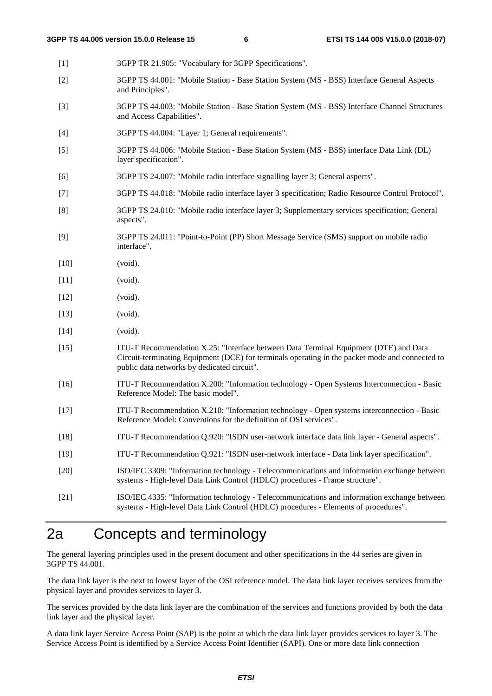[1] 3GPP TR 21.905: "Vocabulary for 3GPP Specifications". [2] 3GPP TS 44.001: "Mobile Station - Base Station System (MS - BSS) Interface General Aspects and Principles". [3] 3GPP TS 44.003: "Mobile Station - Base Station System (MS - BSS) Interface Channel Structures and Access Capabilities". [4] 3GPP TS 44.004: "Layer 1; General requirements". [5] 3GPP TS 44.006: "Mobile Station - Base Station System (MS - BSS) interface Data Link (DL) layer specification". [6] 3GPP TS 24.007: "Mobile radio interface signalling layer 3; General aspects". [7] 3GPP TS 44.018: "Mobile radio interface layer 3 specification; Radio Resource Control Protocol". [8] 3GPP TS 24.010: "Mobile radio interface layer 3; Supplementary services specification; General aspects". [9] 3GPP TS 24.011: "Point-to-Point (PP) Short Message Service (SMS) support on mobile radio interface". [10] (void). [11] (void). [12] (void). [13] (void). [14] (void). [15] ITU-T Recommendation X.25: "Interface between Data Terminal Equipment (DTE) and Data Circuit-terminating Equipment (DCE) for terminals operating in the packet mode and connected to public data networks by dedicated circuit". [16] ITU-T Recommendation X.200: "Information technology - Open Systems Interconnection - Basic Reference Model: The basic model". [17] ITU-T Recommendation X.210: "Information technology - Open systems interconnection - Basic Reference Model: Conventions for the definition of OSI services". [18] ITU-T Recommendation Q.920: "ISDN user-network interface data link layer - General aspects". [19] ITU-T Recommendation Q.921: "ISDN user-network interface - Data link layer specification". [20] ISO/IEC 3309: "Information technology - Telecommunications and information exchange between systems - High-level Data Link Control (HDLC) procedures - Frame structure". [21] ISO/IEC 4335: "Information technology - Telecommunications and information exchange between

# 2a Concepts and terminology

The general layering principles used in the present document and other specifications in the 44 series are given in 3GPP TS 44.001.

The data link layer is the next to lowest layer of the OSI reference model. The data link layer receives services from the physical layer and provides services to layer 3.

systems - High-level Data Link Control (HDLC) procedures - Elements of procedures".

The services provided by the data link layer are the combination of the services and functions provided by both the data link layer and the physical layer.

A data link layer Service Access Point (SAP) is the point at which the data link layer provides services to layer 3. The Service Access Point is identified by a Service Access Point Identifier (SAPI). One or more data link connection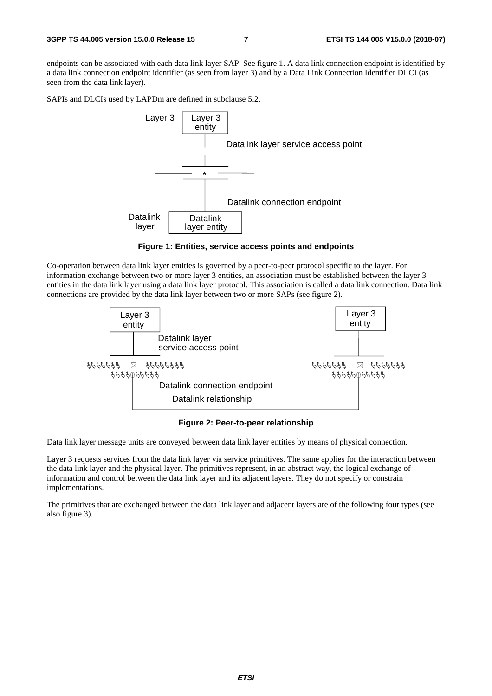endpoints can be associated with each data link layer SAP. See figure 1. A data link connection endpoint is identified by a data link connection endpoint identifier (as seen from layer 3) and by a Data Link Connection Identifier DLCI (as seen from the data link layer).

SAPIs and DLCIs used by LAPDm are defined in subclause 5.2.



**Figure 1: Entities, service access points and endpoints** 

Co-operation between data link layer entities is governed by a peer-to-peer protocol specific to the layer. For information exchange between two or more layer 3 entities, an association must be established between the layer 3 entities in the data link layer using a data link layer protocol. This association is called a data link connection. Data link connections are provided by the data link layer between two or more SAPs (see figure 2).



**Figure 2: Peer-to-peer relationship** 

Data link layer message units are conveyed between data link layer entities by means of physical connection.

Layer 3 requests services from the data link layer via service primitives. The same applies for the interaction between the data link layer and the physical layer. The primitives represent, in an abstract way, the logical exchange of information and control between the data link layer and its adjacent layers. They do not specify or constrain implementations.

The primitives that are exchanged between the data link layer and adjacent layers are of the following four types (see also figure 3).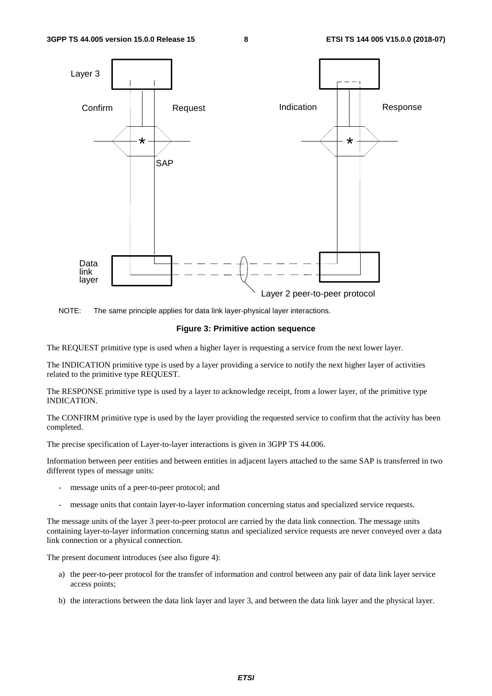

NOTE: The same principle applies for data link layer-physical layer interactions.

#### **Figure 3: Primitive action sequence**

The REQUEST primitive type is used when a higher layer is requesting a service from the next lower layer.

The INDICATION primitive type is used by a layer providing a service to notify the next higher layer of activities related to the primitive type REQUEST.

The RESPONSE primitive type is used by a layer to acknowledge receipt, from a lower layer, of the primitive type INDICATION.

The CONFIRM primitive type is used by the layer providing the requested service to confirm that the activity has been completed.

The precise specification of Layer-to-layer interactions is given in 3GPP TS 44.006.

Information between peer entities and between entities in adjacent layers attached to the same SAP is transferred in two different types of message units:

- message units of a peer-to-peer protocol; and
- message units that contain layer-to-layer information concerning status and specialized service requests.

The message units of the layer 3 peer-to-peer protocol are carried by the data link connection. The message units containing layer-to-layer information concerning status and specialized service requests are never conveyed over a data link connection or a physical connection.

The present document introduces (see also figure 4):

- a) the peer-to-peer protocol for the transfer of information and control between any pair of data link layer service access points;
- b) the interactions between the data link layer and layer 3, and between the data link layer and the physical layer.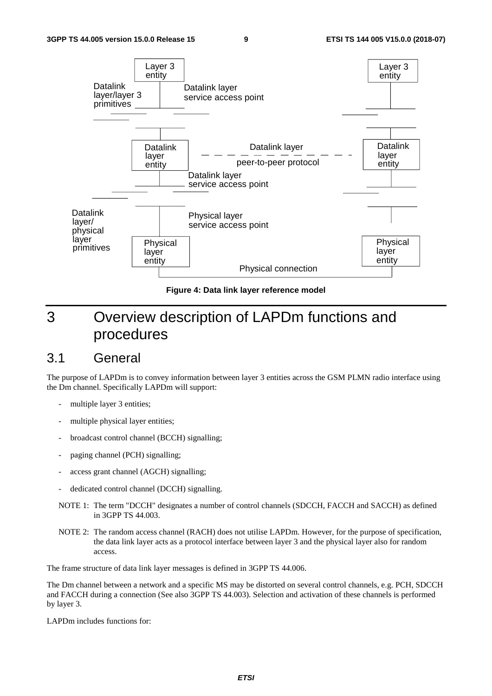

**Figure 4: Data link layer reference model** 

# 3 Overview description of LAPDm functions and procedures

### 3.1 General

The purpose of LAPDm is to convey information between layer 3 entities across the GSM PLMN radio interface using the Dm channel. Specifically LAPDm will support:

- multiple layer 3 entities;
- multiple physical layer entities;
- broadcast control channel (BCCH) signalling;
- paging channel (PCH) signalling;
- access grant channel (AGCH) signalling;
- dedicated control channel (DCCH) signalling.
- NOTE 1: The term "DCCH" designates a number of control channels (SDCCH, FACCH and SACCH) as defined in 3GPP TS 44.003.
- NOTE 2: The random access channel (RACH) does not utilise LAPDm. However, for the purpose of specification, the data link layer acts as a protocol interface between layer 3 and the physical layer also for random access.

The frame structure of data link layer messages is defined in 3GPP TS 44.006.

The Dm channel between a network and a specific MS may be distorted on several control channels, e.g. PCH, SDCCH and FACCH during a connection (See also 3GPP TS 44.003). Selection and activation of these channels is performed by layer 3.

LAPDm includes functions for: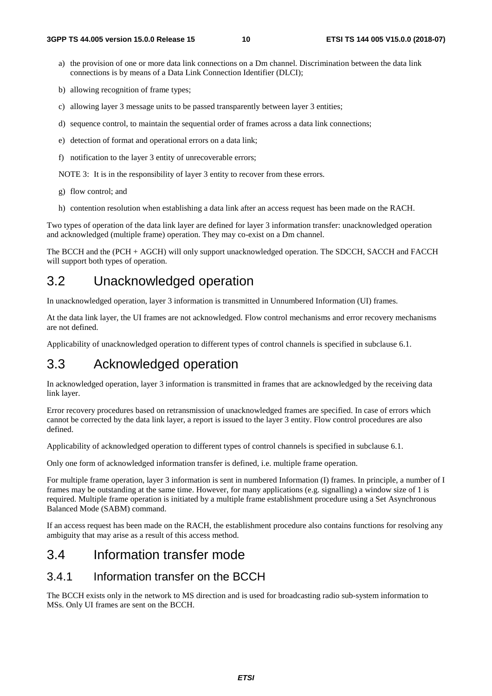- a) the provision of one or more data link connections on a Dm channel. Discrimination between the data link connections is by means of a Data Link Connection Identifier (DLCI);
- b) allowing recognition of frame types;
- c) allowing layer 3 message units to be passed transparently between layer 3 entities;
- d) sequence control, to maintain the sequential order of frames across a data link connections;
- e) detection of format and operational errors on a data link;
- f) notification to the layer 3 entity of unrecoverable errors;

NOTE 3: It is in the responsibility of layer 3 entity to recover from these errors.

- g) flow control; and
- h) contention resolution when establishing a data link after an access request has been made on the RACH.

Two types of operation of the data link layer are defined for layer 3 information transfer: unacknowledged operation and acknowledged (multiple frame) operation. They may co-exist on a Dm channel.

The BCCH and the (PCH + AGCH) will only support unacknowledged operation. The SDCCH, SACCH and FACCH will support both types of operation.

### 3.2 Unacknowledged operation

In unacknowledged operation, layer 3 information is transmitted in Unnumbered Information (UI) frames.

At the data link layer, the UI frames are not acknowledged. Flow control mechanisms and error recovery mechanisms are not defined.

Applicability of unacknowledged operation to different types of control channels is specified in subclause 6.1.

### 3.3 Acknowledged operation

In acknowledged operation, layer 3 information is transmitted in frames that are acknowledged by the receiving data link layer.

Error recovery procedures based on retransmission of unacknowledged frames are specified. In case of errors which cannot be corrected by the data link layer, a report is issued to the layer 3 entity. Flow control procedures are also defined.

Applicability of acknowledged operation to different types of control channels is specified in subclause 6.1.

Only one form of acknowledged information transfer is defined, i.e. multiple frame operation.

For multiple frame operation, layer 3 information is sent in numbered Information (I) frames. In principle, a number of I frames may be outstanding at the same time. However, for many applications (e.g. signalling) a window size of 1 is required. Multiple frame operation is initiated by a multiple frame establishment procedure using a Set Asynchronous Balanced Mode (SABM) command.

If an access request has been made on the RACH, the establishment procedure also contains functions for resolving any ambiguity that may arise as a result of this access method.

### 3.4 Information transfer mode

### 3.4.1 Information transfer on the BCCH

The BCCH exists only in the network to MS direction and is used for broadcasting radio sub-system information to MSs. Only UI frames are sent on the BCCH.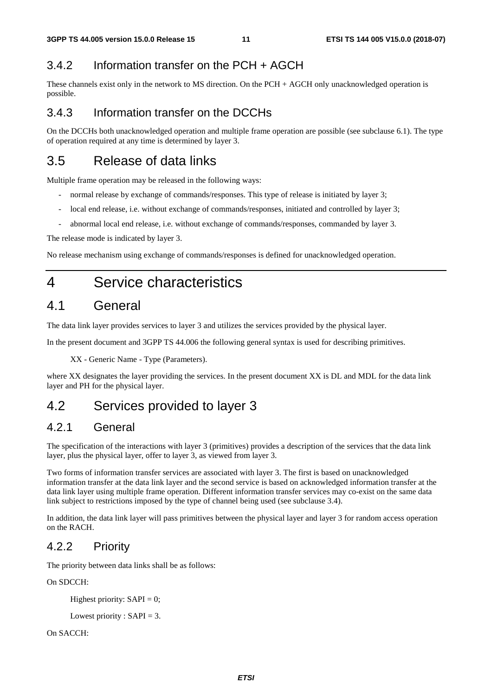### 3.4.2 Information transfer on the PCH + AGCH

These channels exist only in the network to MS direction. On the PCH + AGCH only unacknowledged operation is possible.

### 3.4.3 Information transfer on the DCCHs

On the DCCHs both unacknowledged operation and multiple frame operation are possible (see subclause 6.1). The type of operation required at any time is determined by layer 3.

### 3.5 Release of data links

Multiple frame operation may be released in the following ways:

- normal release by exchange of commands/responses. This type of release is initiated by layer 3;
- local end release, i.e. without exchange of commands/responses, initiated and controlled by layer 3;
- abnormal local end release, i.e. without exchange of commands/responses, commanded by layer 3.

The release mode is indicated by layer 3.

No release mechanism using exchange of commands/responses is defined for unacknowledged operation.

# 4 Service characteristics

### 4.1 General

The data link layer provides services to layer 3 and utilizes the services provided by the physical layer.

In the present document and 3GPP TS 44.006 the following general syntax is used for describing primitives.

XX - Generic Name - Type (Parameters).

where XX designates the layer providing the services. In the present document XX is DL and MDL for the data link layer and PH for the physical layer.

# 4.2 Services provided to layer 3

### 4.2.1 General

The specification of the interactions with layer 3 (primitives) provides a description of the services that the data link layer, plus the physical layer, offer to layer 3, as viewed from layer 3.

Two forms of information transfer services are associated with layer 3. The first is based on unacknowledged information transfer at the data link layer and the second service is based on acknowledged information transfer at the data link layer using multiple frame operation. Different information transfer services may co-exist on the same data link subject to restrictions imposed by the type of channel being used (see subclause 3.4).

In addition, the data link layer will pass primitives between the physical layer and layer 3 for random access operation on the RACH.

### 4.2.2 Priority

The priority between data links shall be as follows:

On SDCCH:

Highest priority:  $SAPI = 0$ ;

Lowest priority :  $SAPI = 3$ .

On SACCH: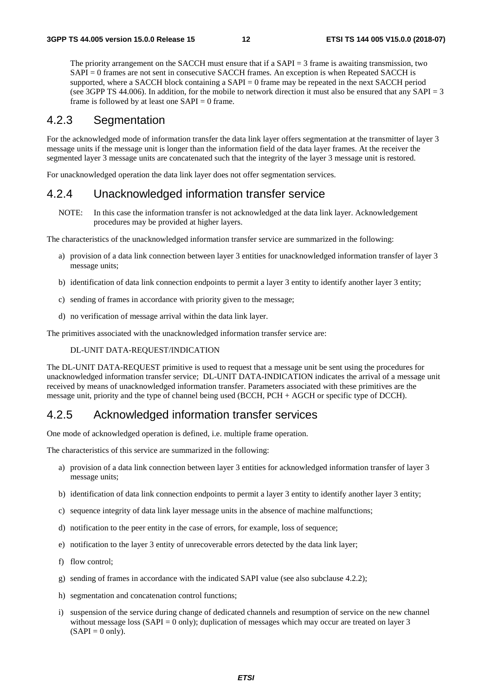The priority arrangement on the SACCH must ensure that if a SAPI = 3 frame is awaiting transmission, two SAPI = 0 frames are not sent in consecutive SACCH frames. An exception is when Repeated SACCH is supported, where a SACCH block containing a  $SAPI = 0$  frame may be repeated in the next SACCH period (see 3GPP TS 44.006). In addition, for the mobile to network direction it must also be ensured that any SAPI = 3 frame is followed by at least one  $SAPI = 0$  frame.

### 4.2.3 Segmentation

For the acknowledged mode of information transfer the data link layer offers segmentation at the transmitter of layer 3 message units if the message unit is longer than the information field of the data layer frames. At the receiver the segmented layer 3 message units are concatenated such that the integrity of the layer 3 message unit is restored.

For unacknowledged operation the data link layer does not offer segmentation services.

### 4.2.4 Unacknowledged information transfer service

NOTE: In this case the information transfer is not acknowledged at the data link layer. Acknowledgement procedures may be provided at higher layers.

The characteristics of the unacknowledged information transfer service are summarized in the following:

- a) provision of a data link connection between layer 3 entities for unacknowledged information transfer of layer 3 message units;
- b) identification of data link connection endpoints to permit a layer 3 entity to identify another layer 3 entity;
- c) sending of frames in accordance with priority given to the message;
- d) no verification of message arrival within the data link layer.

The primitives associated with the unacknowledged information transfer service are:

#### DL-UNIT DATA-REQUEST/INDICATION

The DL-UNIT DATA-REQUEST primitive is used to request that a message unit be sent using the procedures for unacknowledged information transfer service; DL-UNIT DATA-INDICATION indicates the arrival of a message unit received by means of unacknowledged information transfer. Parameters associated with these primitives are the message unit, priority and the type of channel being used (BCCH, PCH + AGCH or specific type of DCCH).

### 4.2.5 Acknowledged information transfer services

One mode of acknowledged operation is defined, i.e. multiple frame operation.

The characteristics of this service are summarized in the following:

- a) provision of a data link connection between layer 3 entities for acknowledged information transfer of layer 3 message units;
- b) identification of data link connection endpoints to permit a layer 3 entity to identify another layer 3 entity;
- c) sequence integrity of data link layer message units in the absence of machine malfunctions;
- d) notification to the peer entity in the case of errors, for example, loss of sequence;
- e) notification to the layer 3 entity of unrecoverable errors detected by the data link layer;
- f) flow control;
- g) sending of frames in accordance with the indicated SAPI value (see also subclause 4.2.2);
- h) segmentation and concatenation control functions;
- i) suspension of the service during change of dedicated channels and resumption of service on the new channel without message loss  $(SAPI = 0$  only); duplication of messages which may occur are treated on layer 3  $(SAPI = 0$  only).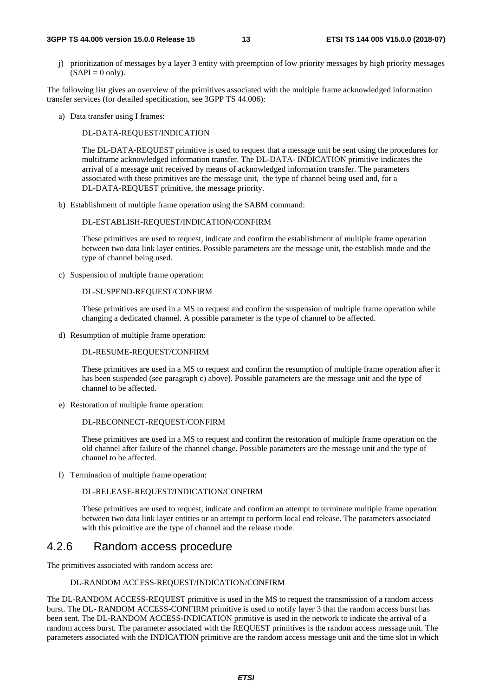#### **3GPP TS 44.005 version 15.0.0 Release 15 13 ETSI TS 144 005 V15.0.0 (2018-07)**

j) prioritization of messages by a layer 3 entity with preemption of low priority messages by high priority messages  $(SAPI = 0$  only).

The following list gives an overview of the primitives associated with the multiple frame acknowledged information transfer services (for detailed specification, see 3GPP TS 44.006):

a) Data transfer using I frames:

DL-DATA-REQUEST/INDICATION

 The DL-DATA-REQUEST primitive is used to request that a message unit be sent using the procedures for multiframe acknowledged information transfer. The DL-DATA- INDICATION primitive indicates the arrival of a message unit received by means of acknowledged information transfer. The parameters associated with these primitives are the message unit, the type of channel being used and, for a DL-DATA-REQUEST primitive, the message priority.

b) Establishment of multiple frame operation using the SABM command:

#### DL-ESTABLISH-REQUEST/INDICATION/CONFIRM

 These primitives are used to request, indicate and confirm the establishment of multiple frame operation between two data link layer entities. Possible parameters are the message unit, the establish mode and the type of channel being used.

c) Suspension of multiple frame operation:

#### DL-SUSPEND-REQUEST/CONFIRM

 These primitives are used in a MS to request and confirm the suspension of multiple frame operation while changing a dedicated channel. A possible parameter is the type of channel to be affected.

d) Resumption of multiple frame operation:

#### DL-RESUME-REQUEST/CONFIRM

 These primitives are used in a MS to request and confirm the resumption of multiple frame operation after it has been suspended (see paragraph c) above). Possible parameters are the message unit and the type of channel to be affected.

e) Restoration of multiple frame operation:

#### DL-RECONNECT-REQUEST/CONFIRM

 These primitives are used in a MS to request and confirm the restoration of multiple frame operation on the old channel after failure of the channel change. Possible parameters are the message unit and the type of channel to be affected.

f) Termination of multiple frame operation:

DL-RELEASE-REQUEST/INDICATION/CONFIRM

 These primitives are used to request, indicate and confirm an attempt to terminate multiple frame operation between two data link layer entities or an attempt to perform local end release. The parameters associated with this primitive are the type of channel and the release mode.

### 4.2.6 Random access procedure

The primitives associated with random access are:

#### DL-RANDOM ACCESS-REQUEST/INDICATION/CONFIRM

The DL-RANDOM ACCESS-REQUEST primitive is used in the MS to request the transmission of a random access burst. The DL- RANDOM ACCESS-CONFIRM primitive is used to notify layer 3 that the random access burst has been sent. The DL-RANDOM ACCESS-INDICATION primitive is used in the network to indicate the arrival of a random access burst. The parameter associated with the REQUEST primitives is the random access message unit. The parameters associated with the INDICATION primitive are the random access message unit and the time slot in which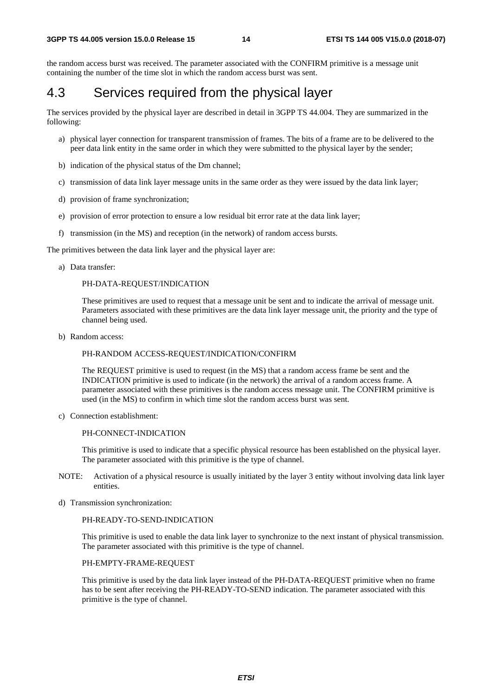the random access burst was received. The parameter associated with the CONFIRM primitive is a message unit containing the number of the time slot in which the random access burst was sent.

### 4.3 Services required from the physical layer

The services provided by the physical layer are described in detail in 3GPP TS 44.004. They are summarized in the following:

- a) physical layer connection for transparent transmission of frames. The bits of a frame are to be delivered to the peer data link entity in the same order in which they were submitted to the physical layer by the sender;
- b) indication of the physical status of the Dm channel;
- c) transmission of data link layer message units in the same order as they were issued by the data link layer;
- d) provision of frame synchronization;
- e) provision of error protection to ensure a low residual bit error rate at the data link layer;
- f) transmission (in the MS) and reception (in the network) of random access bursts.

The primitives between the data link layer and the physical layer are:

a) Data transfer:

#### PH-DATA-REQUEST/INDICATION

 These primitives are used to request that a message unit be sent and to indicate the arrival of message unit. Parameters associated with these primitives are the data link layer message unit, the priority and the type of channel being used.

b) Random access:

#### PH-RANDOM ACCESS-REQUEST/INDICATION/CONFIRM

 The REQUEST primitive is used to request (in the MS) that a random access frame be sent and the INDICATION primitive is used to indicate (in the network) the arrival of a random access frame. A parameter associated with these primitives is the random access message unit. The CONFIRM primitive is used (in the MS) to confirm in which time slot the random access burst was sent.

c) Connection establishment:

#### PH-CONNECT-INDICATION

 This primitive is used to indicate that a specific physical resource has been established on the physical layer. The parameter associated with this primitive is the type of channel.

- NOTE: Activation of a physical resource is usually initiated by the layer 3 entity without involving data link layer entities.
- d) Transmission synchronization:

#### PH-READY-TO-SEND-INDICATION

 This primitive is used to enable the data link layer to synchronize to the next instant of physical transmission. The parameter associated with this primitive is the type of channel.

#### PH-EMPTY-FRAME-REQUEST

 This primitive is used by the data link layer instead of the PH-DATA-REQUEST primitive when no frame has to be sent after receiving the PH-READY-TO-SEND indication. The parameter associated with this primitive is the type of channel.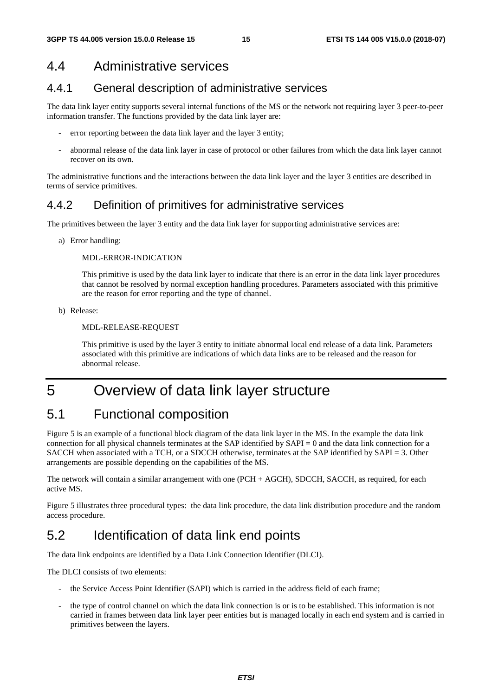### 4.4 Administrative services

### 4.4.1 General description of administrative services

The data link layer entity supports several internal functions of the MS or the network not requiring layer 3 peer-to-peer information transfer. The functions provided by the data link layer are:

- error reporting between the data link layer and the layer 3 entity;
- abnormal release of the data link layer in case of protocol or other failures from which the data link layer cannot recover on its own.

The administrative functions and the interactions between the data link layer and the layer 3 entities are described in terms of service primitives.

### 4.4.2 Definition of primitives for administrative services

The primitives between the layer 3 entity and the data link layer for supporting administrative services are:

a) Error handling:

#### MDL-ERROR-INDICATION

 This primitive is used by the data link layer to indicate that there is an error in the data link layer procedures that cannot be resolved by normal exception handling procedures. Parameters associated with this primitive are the reason for error reporting and the type of channel.

b) Release:

#### MDL-RELEASE-REQUEST

 This primitive is used by the layer 3 entity to initiate abnormal local end release of a data link. Parameters associated with this primitive are indications of which data links are to be released and the reason for abnormal release.

# 5 Overview of data link layer structure

# 5.1 Functional composition

Figure 5 is an example of a functional block diagram of the data link layer in the MS. In the example the data link connection for all physical channels terminates at the SAP identified by SAPI = 0 and the data link connection for a SACCH when associated with a TCH, or a SDCCH otherwise, terminates at the SAP identified by SAPI = 3. Other arrangements are possible depending on the capabilities of the MS.

The network will contain a similar arrangement with one (PCH + AGCH), SDCCH, SACCH, as required, for each active MS.

Figure 5 illustrates three procedural types: the data link procedure, the data link distribution procedure and the random access procedure.

# 5.2 Identification of data link end points

The data link endpoints are identified by a Data Link Connection Identifier (DLCI).

The DLCI consists of two elements:

- the Service Access Point Identifier (SAPI) which is carried in the address field of each frame;
- the type of control channel on which the data link connection is or is to be established. This information is not carried in frames between data link layer peer entities but is managed locally in each end system and is carried in primitives between the layers.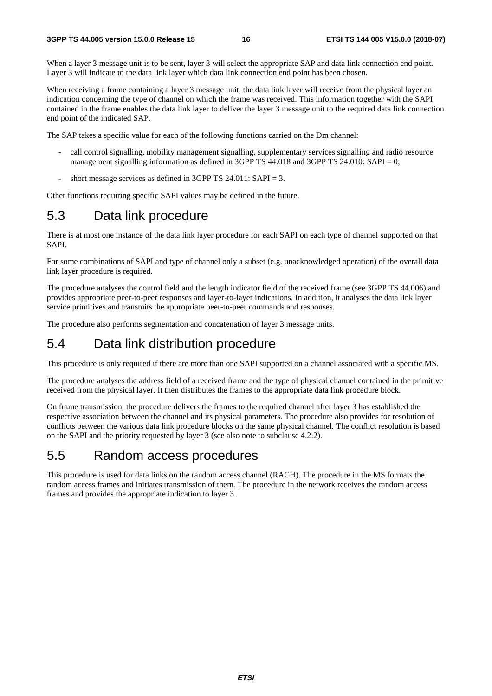When a layer 3 message unit is to be sent, layer 3 will select the appropriate SAP and data link connection end point. Layer 3 will indicate to the data link layer which data link connection end point has been chosen.

When receiving a frame containing a layer 3 message unit, the data link layer will receive from the physical layer an indication concerning the type of channel on which the frame was received. This information together with the SAPI contained in the frame enables the data link layer to deliver the layer 3 message unit to the required data link connection end point of the indicated SAP.

The SAP takes a specific value for each of the following functions carried on the Dm channel:

- call control signalling, mobility management signalling, supplementary services signalling and radio resource management signalling information as defined in 3GPP TS  $\overline{44.018}$  and 3GPP TS  $\overline{24.010}$ : SAPI = 0;
- short message services as defined in 3GPP TS 24.011:  $SAPI = 3$ .

Other functions requiring specific SAPI values may be defined in the future.

### 5.3 Data link procedure

There is at most one instance of the data link layer procedure for each SAPI on each type of channel supported on that SAPI.

For some combinations of SAPI and type of channel only a subset (e.g. unacknowledged operation) of the overall data link layer procedure is required.

The procedure analyses the control field and the length indicator field of the received frame (see 3GPP TS 44.006) and provides appropriate peer-to-peer responses and layer-to-layer indications. In addition, it analyses the data link layer service primitives and transmits the appropriate peer-to-peer commands and responses.

The procedure also performs segmentation and concatenation of layer 3 message units.

### 5.4 Data link distribution procedure

This procedure is only required if there are more than one SAPI supported on a channel associated with a specific MS.

The procedure analyses the address field of a received frame and the type of physical channel contained in the primitive received from the physical layer. It then distributes the frames to the appropriate data link procedure block.

On frame transmission, the procedure delivers the frames to the required channel after layer 3 has established the respective association between the channel and its physical parameters. The procedure also provides for resolution of conflicts between the various data link procedure blocks on the same physical channel. The conflict resolution is based on the SAPI and the priority requested by layer 3 (see also note to subclause 4.2.2).

### 5.5 Random access procedures

This procedure is used for data links on the random access channel (RACH). The procedure in the MS formats the random access frames and initiates transmission of them. The procedure in the network receives the random access frames and provides the appropriate indication to layer 3.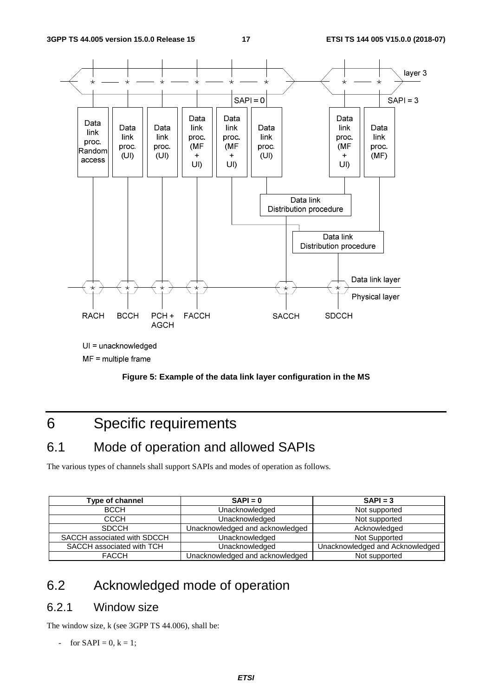



# 6 Specific requirements

### 6.1 Mode of operation and allowed SAPIs

The various types of channels shall support SAPIs and modes of operation as follows.

| Type of channel             | $SAPI = 0$                      | $SAPI = 3$                      |
|-----------------------------|---------------------------------|---------------------------------|
| <b>BCCH</b>                 | Unacknowledged                  | Not supported                   |
| <b>CCCH</b>                 | Unacknowledged                  | Not supported                   |
| <b>SDCCH</b>                | Unacknowledged and acknowledged | Acknowledged                    |
| SACCH associated with SDCCH | Unacknowledged                  | Not Supported                   |
| SACCH associated with TCH   | Unacknowledged                  | Unacknowledged and Acknowledged |
| <b>FACCH</b>                | Unacknowledged and acknowledged | Not supported                   |

# 6.2 Acknowledged mode of operation

### 6.2.1 Window size

The window size, k (see 3GPP TS 44.006), shall be:

- for  $SAPI = 0, k = 1;$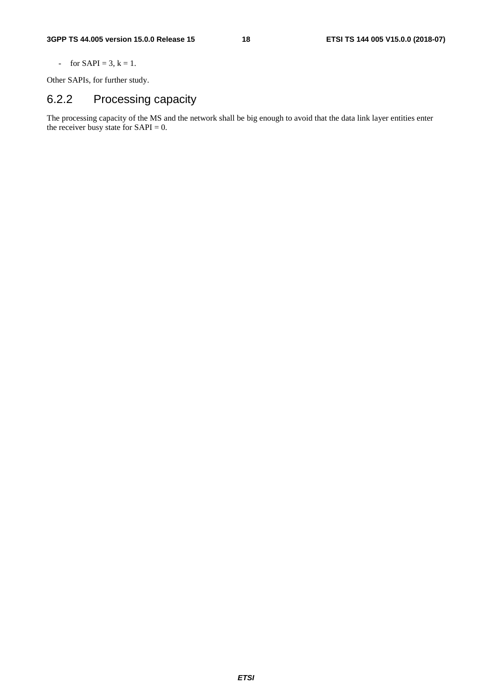- for  $SAPI = 3, k = 1.$ 

Other SAPIs, for further study.

# 6.2.2 Processing capacity

The processing capacity of the MS and the network shall be big enough to avoid that the data link layer entities enter the receiver busy state for  $SAPI = 0$ .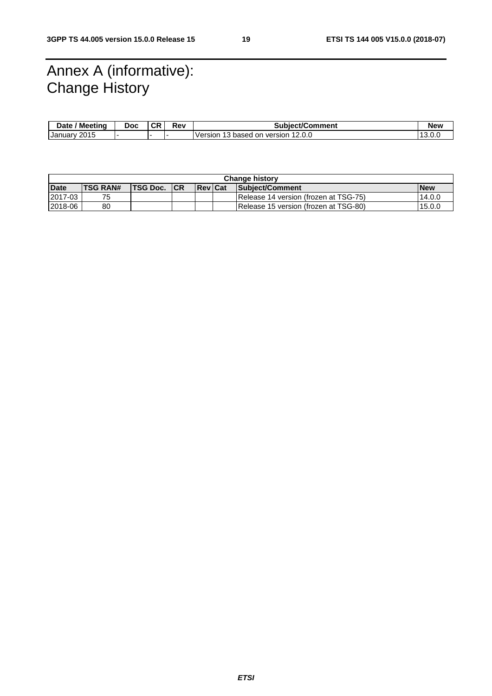# Annex A (informative): Change History

| ' Meetina<br><b>Date</b> | Doc | σn | Rev | <b>Subiect/Comment</b>                               | New     |
|--------------------------|-----|----|-----|------------------------------------------------------|---------|
| 2015<br>January          |     |    |     | 12.0.0<br>Version<br>based<br>version<br>. on<br>ر ر | ∣ J.U.∖ |

| <b>Change history</b> |                 |           |            |                 |  |                                       |            |
|-----------------------|-----------------|-----------|------------|-----------------|--|---------------------------------------|------------|
| <b>Date</b>           | <b>TSG RAN#</b> | 'TSG Doc. | <b>ICR</b> | <b>IReviCat</b> |  | Subject/Comment                       | <b>New</b> |
| 2017-03               | 75              |           |            |                 |  | Release 14 version (frozen at TSG-75) | 14.0.0     |
| 2018-06               | 80              |           |            |                 |  | Release 15 version (frozen at TSG-80) | 15.0.0     |